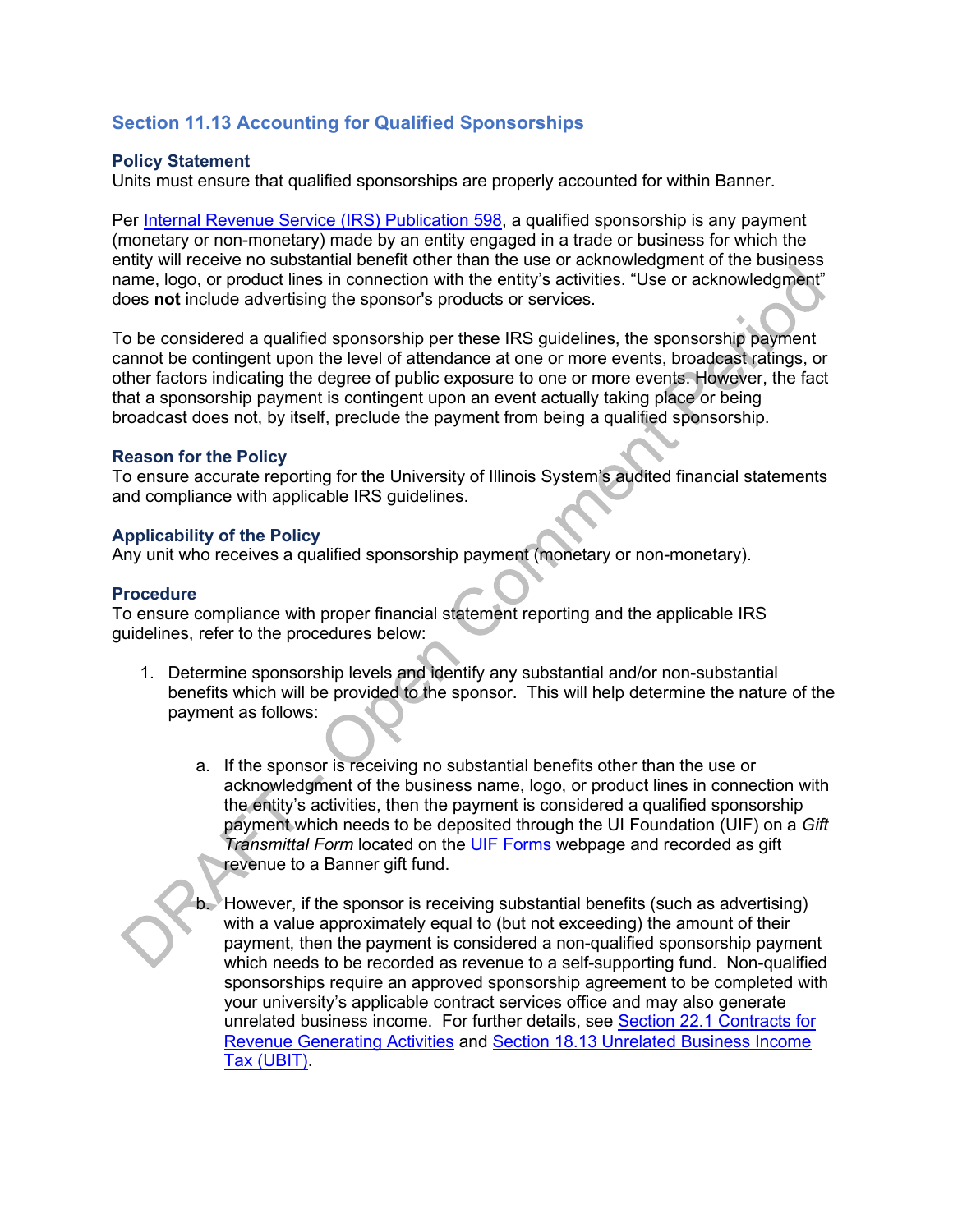# **Section 11.13 Accounting for Qualified Sponsorships**

### **Policy Statement**

Units must ensure that qualified sponsorships are properly accounted for within Banner.

Per [Internal Revenue Service \(IRS\) Publication 598,](https://www.irs.gov/pub/irs-pdf/p598.pdf) a qualified sponsorship is any payment (monetary or non-monetary) made by an entity engaged in a trade or business for which the entity will receive no substantial benefit other than the use or acknowledgment of the business name, logo, or product lines in connection with the entity's activities. "Use or acknowledgment" does **not** include advertising the sponsor's products or services.

To be considered a qualified sponsorship per these IRS guidelines, the sponsorship payment cannot be contingent upon the level of attendance at one or more events, broadcast ratings, or other factors indicating the degree of public exposure to one or more events. However, the fact that a sponsorship payment is contingent upon an event actually taking place or being broadcast does not, by itself, preclude the payment from being a qualified sponsorship.

### **Reason for the Policy**

To ensure accurate reporting for the University of Illinois System's audited financial statements and compliance with applicable IRS guidelines.

#### **Applicability of the Policy**

Any unit who receives a qualified sponsorship payment (monetary or non-monetary).

#### **Procedure**

To ensure compliance with proper financial statement reporting and the applicable IRS guidelines, refer to the procedures below:

- 1. Determine sponsorship levels and identify any substantial and/or non-substantial benefits which will be provided to the sponsor. This will help determine the nature of the payment as follows:
	- a. If the sponsor is receiving no substantial benefits other than the use or acknowledgment of the business name, logo, or product lines in connection with the entity's activities, then the payment is considered a qualified sponsorship payment which needs to be deposited through the UI Foundation (UIF) on a *Gift Transmittal Form* located on the [UIF Forms](https://online.uif.uillinois.edu/pages/forms) webpage and recorded as gift revenue to a Banner gift fund.

b. However, if the sponsor is receiving substantial benefits (such as advertising) with a value approximately equal to (but not exceeding) the amount of their payment, then the payment is considered a non-qualified sponsorship payment which needs to be recorded as revenue to a self-supporting fund. Non-qualified sponsorships require an approved sponsorship agreement to be completed with your university's applicable contract services office and may also generate unrelated business income. For further details, see [Section 22.1 Contracts for](https://www.obfs.uillinois.edu/bfpp/section-22-self-supporting-revenue-generating/section-22-1)  [Revenue Generating Activities](https://www.obfs.uillinois.edu/bfpp/section-22-self-supporting-revenue-generating/section-22-1) and [Section 18.13 Unrelated Business Income](https://www.obfs.uillinois.edu/bfpp/section-18-taxes/section-18-13)  [Tax \(UBIT\).](https://www.obfs.uillinois.edu/bfpp/section-18-taxes/section-18-13)